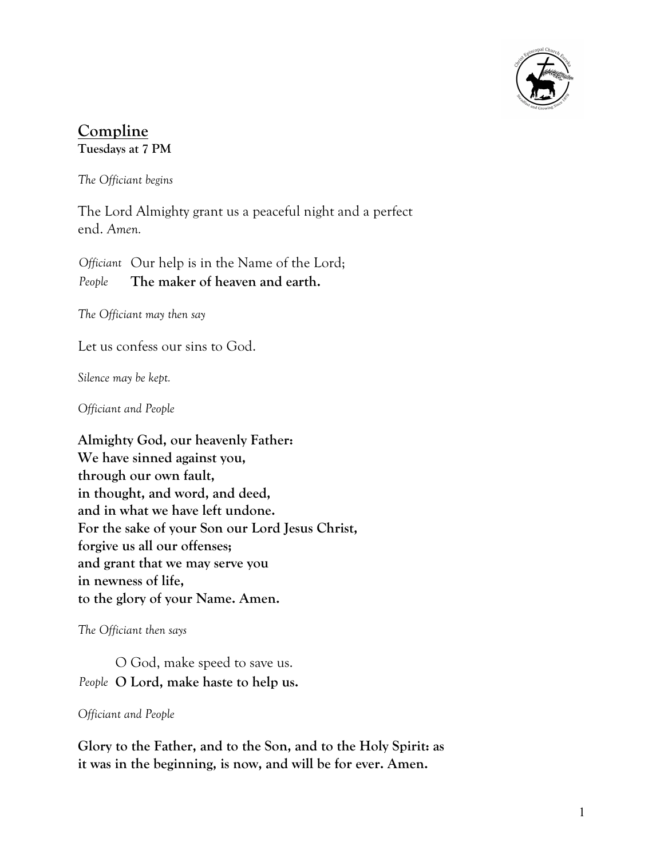

# **Compline Tuesdays at 7 PM**

*The Officiant begins*

The Lord Almighty grant us a peaceful night and a perfect end. *Amen.*

*Officiant* Our help is in the Name of the Lord; *People* **The maker of heaven and earth.**

*The Officiant may then say*

Let us confess our sins to God.

*Silence may be kept.*

*Officiant and People*

**Almighty God, our heavenly Father: We have sinned against you, through our own fault, in thought, and word, and deed, and in what we have left undone. For the sake of your Son our Lord Jesus Christ, forgive us all our offenses; and grant that we may serve you in newness of life, to the glory of your Name. Amen.**

*The Officiant then says*

O God, make speed to save us. *People* **O Lord, make haste to help us.**

#### *Officiant and People*

**Glory to the Father, and to the Son, and to the Holy Spirit: as it was in the beginning, is now, and will be for ever. Amen.**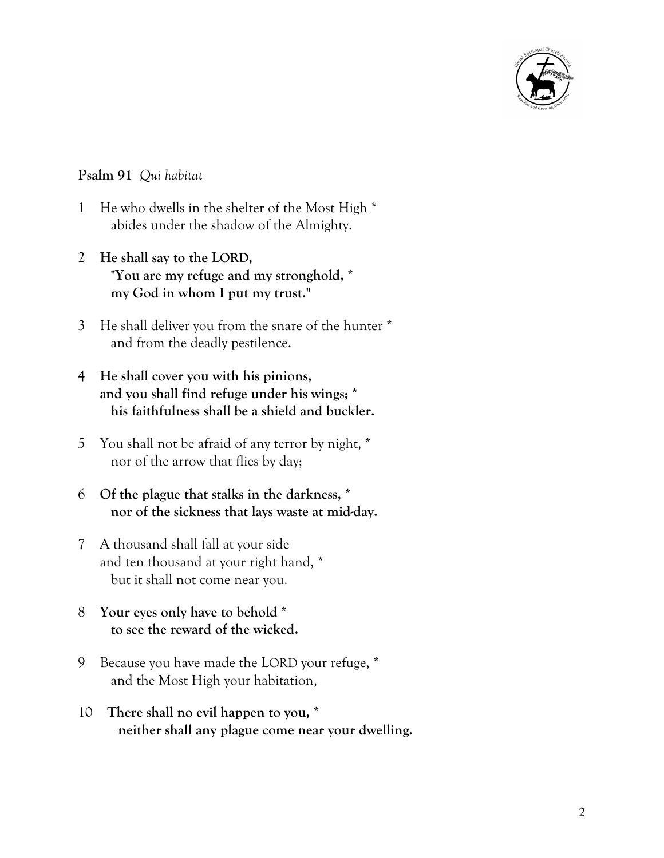

### **Psalm 91** *Qui habitat*

- 1 He who dwells in the shelter of the Most High \* abides under the shadow of the Almighty.
- 2 **He shall say to the LORD, "You are my refuge and my stronghold, \* my God in whom I put my trust."**
- 3 He shall deliver you from the snare of the hunter \* and from the deadly pestilence.
- 4 **He shall cover you with his pinions, and you shall find refuge under his wings; \* his faithfulness shall be a shield and buckler.**
- 5 You shall not be afraid of any terror by night, \* nor of the arrow that flies by day;
- 6 **Of the plague that stalks in the darkness, \* nor of the sickness that lays waste at mid-day.**
- 7 A thousand shall fall at your side and ten thousand at your right hand, \* but it shall not come near you.
- 8 **Your eyes only have to behold \* to see the reward of the wicked.**
- 9 Because you have made the LORD your refuge, \* and the Most High your habitation,
- 10 **There shall no evil happen to you, \* neither shall any plague come near your dwelling.**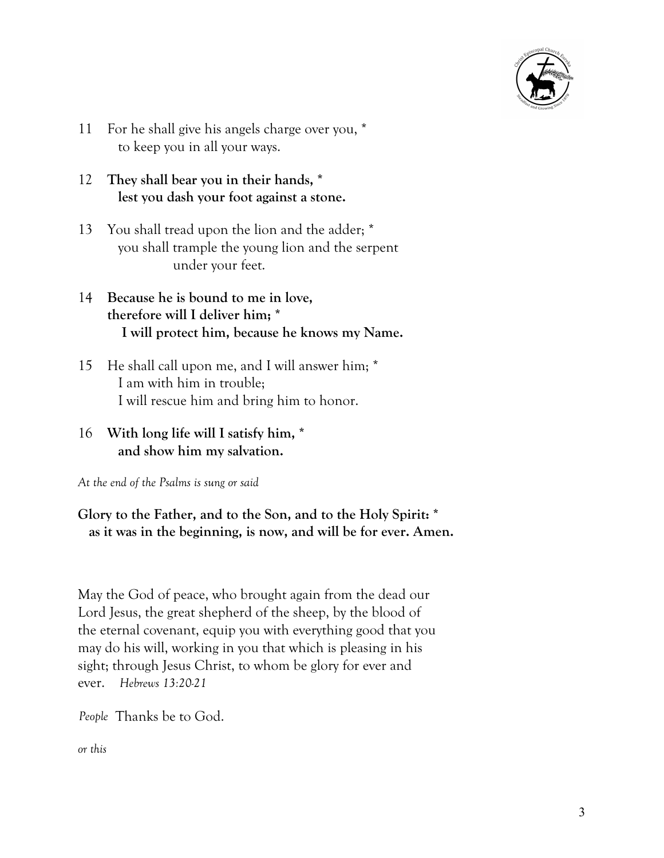

- 11 For he shall give his angels charge over you, \* to keep you in all your ways.
- 12 **They shall bear you in their hands, \* lest you dash your foot against a stone.**
- 13 You shall tread upon the lion and the adder; \* you shall trample the young lion and the serpent under your feet.
- 14 **Because he is bound to me in love, therefore will I deliver him; \* I will protect him, because he knows my Name.**
- 15 He shall call upon me, and I will answer him; \* I am with him in trouble; I will rescue him and bring him to honor.
- 16 **With long life will I satisfy him, \* and show him my salvation.**

*At the end of the Psalms is sung or said*

## **Glory to the Father, and to the Son, and to the Holy Spirit: \* as it was in the beginning, is now, and will be for ever. Amen.**

May the God of peace, who brought again from the dead our Lord Jesus, the great shepherd of the sheep, by the blood of the eternal covenant, equip you with everything good that you may do his will, working in you that which is pleasing in his sight; through Jesus Christ, to whom be glory for ever and ever. *Hebrews 13:20-21*

*People* Thanks be to God.

*or this*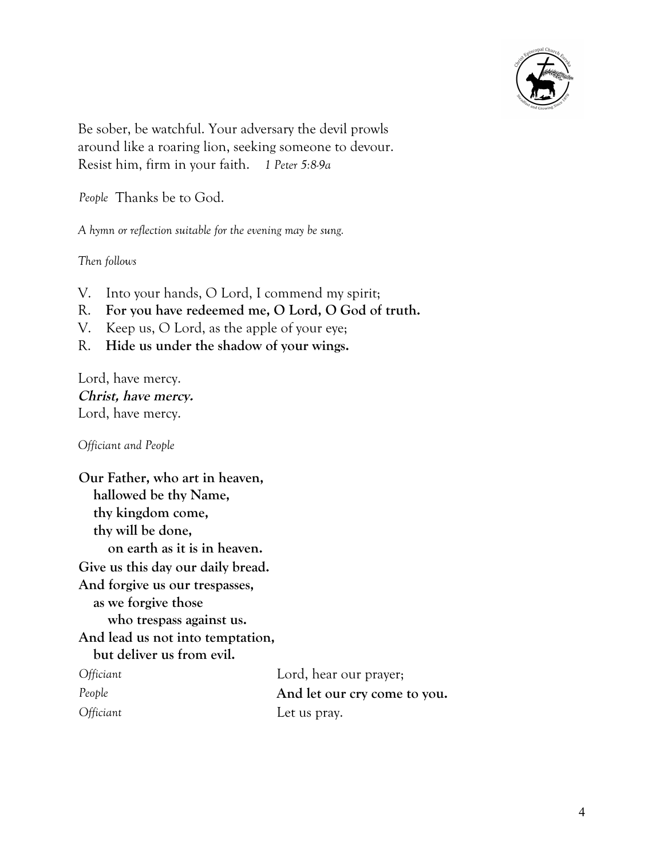

Be sober, be watchful. Your adversary the devil prowls around like a roaring lion, seeking someone to devour. Resist him, firm in your faith. *1 Peter 5:8-9a*

*People* Thanks be to God.

*A hymn or reflection suitable for the evening may be sung.*

*Then follows*

- V. Into your hands, O Lord, I commend my spirit;
- R. **For you have redeemed me, O Lord, O God of truth.**
- V. Keep us, O Lord, as the apple of your eye;
- R. **Hide us under the shadow of your wings.**

Lord, have mercy. **Christ, have mercy.** Lord, have mercy.

*Officiant and People*

**Our Father, who art in heaven, hallowed be thy Name, thy kingdom come, thy will be done, on earth as it is in heaven. Give us this day our daily bread. And forgive us our trespasses, as we forgive those who trespass against us. And lead us not into temptation, but deliver us from evil.** *Officiant* Lord, hear our prayer;

*People* **And let our cry come to you.** *Officiant* Let us pray.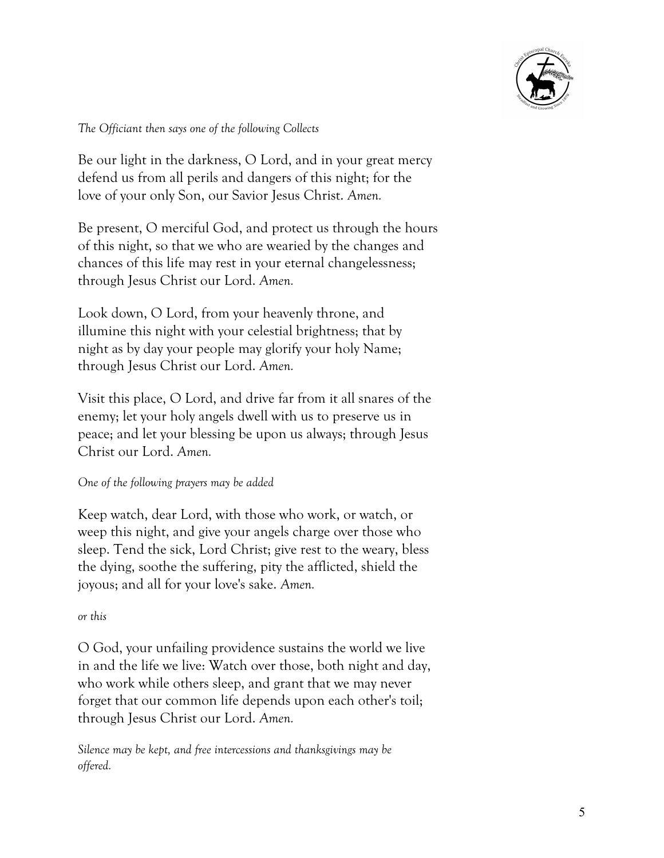

*The Officiant then says one of the following Collects*

Be our light in the darkness, O Lord, and in your great mercy defend us from all perils and dangers of this night; for the love of your only Son, our Savior Jesus Christ. *Amen.*

Be present, O merciful God, and protect us through the hours of this night, so that we who are wearied by the changes and chances of this life may rest in your eternal changelessness; through Jesus Christ our Lord. *Amen.*

Look down, O Lord, from your heavenly throne, and illumine this night with your celestial brightness; that by night as by day your people may glorify your holy Name; through Jesus Christ our Lord. *Amen.*

Visit this place, O Lord, and drive far from it all snares of the enemy; let your holy angels dwell with us to preserve us in peace; and let your blessing be upon us always; through Jesus Christ our Lord. *Amen.*

### *One of the following prayers may be added*

Keep watch, dear Lord, with those who work, or watch, or weep this night, and give your angels charge over those who sleep. Tend the sick, Lord Christ; give rest to the weary, bless the dying, soothe the suffering, pity the afflicted, shield the joyous; and all for your love's sake. *Amen.*

### *or this*

O God, your unfailing providence sustains the world we live in and the life we live: Watch over those, both night and day, who work while others sleep, and grant that we may never forget that our common life depends upon each other's toil; through Jesus Christ our Lord. *Amen.*

*Silence may be kept, and free intercessions and thanksgivings may be offered.*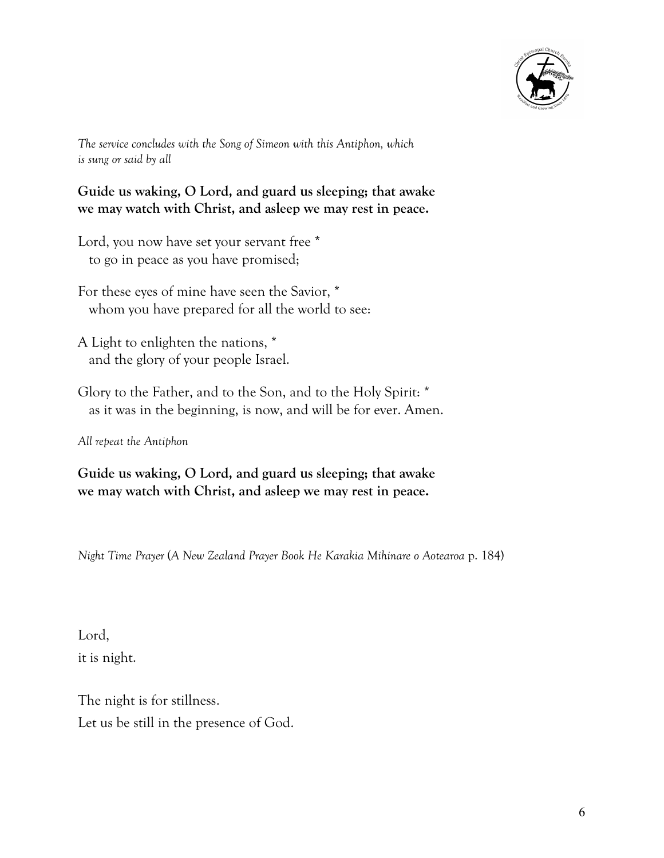

*The service concludes with the Song of Simeon with this Antiphon, which is sung or said by all*

**Guide us waking, O Lord, and guard us sleeping; that awake we may watch with Christ, and asleep we may rest in peace.**

Lord, you now have set your servant free  $*$ to go in peace as you have promised;

For these eyes of mine have seen the Savior, \* whom you have prepared for all the world to see:

A Light to enlighten the nations, \* and the glory of your people Israel.

Glory to the Father, and to the Son, and to the Holy Spirit: \* as it was in the beginning, is now, and will be for ever. Amen.

*All repeat the Antiphon*

**Guide us waking, O Lord, and guard us sleeping; that awake we may watch with Christ, and asleep we may rest in peace.**

*Night Time Prayer* (*A New Zealand Prayer Book He Karakia Mihinare o Aotearoa* p. 184)

Lord, it is night.

The night is for stillness. Let us be still in the presence of God.